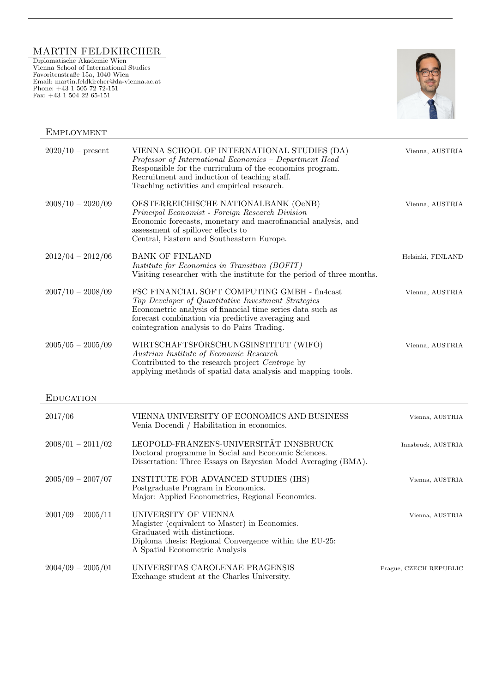# MARTIN FELDKIRCHER

Diplomatische Akademie Wien Vienna School of International Studies Favoritenstraße 15a, 1040 Wien Email: martin.feldkircher@da-vienna.ac.at Phone: +43 1 505 72 72-151 Fax: +43 1 504 22 65-151 .



| EMPLOYMENT          |                                                                                                                                                                                                                                                                       |                        |
|---------------------|-----------------------------------------------------------------------------------------------------------------------------------------------------------------------------------------------------------------------------------------------------------------------|------------------------|
| $2020/10$ – present | VIENNA SCHOOL OF INTERNATIONAL STUDIES (DA)<br>Professor of International Economics - Department Head<br>Responsible for the curriculum of the economics program.<br>Recruitment and induction of teaching staff.<br>Teaching activities and empirical research.      | Vienna, AUSTRIA        |
| $2008/10 - 2020/09$ | OESTERREICHISCHE NATIONALBANK (OeNB)<br>Principal Economist - Foreign Research Division<br>Economic forecasts, monetary and macrofinancial analysis, and<br>assessment of spillover effects to<br>Central, Eastern and Southeastern Europe.                           | Vienna, AUSTRIA        |
| $2012/04 - 2012/06$ | <b>BANK OF FINLAND</b><br>Institute for Economies in Transition (BOFIT)<br>Visiting researcher with the institute for the period of three months.                                                                                                                     | Helsinki, FINLAND      |
| $2007/10 - 2008/09$ | FSC FINANCIAL SOFT COMPUTING GMBH - fin4cast<br>Top Developer of Quantitative Investment Strategies<br>Econometric analysis of financial time series data such as<br>forecast combination via predictive averaging and<br>cointegration analysis to do Pairs Trading. | Vienna, AUSTRIA        |
| $2005/05 - 2005/09$ | WIRTSCHAFTSFORSCHUNGSINSTITUT (WIFO)<br>Austrian Institute of Economic Research<br>Contributed to the research project Centrope by<br>applying methods of spatial data analysis and mapping tools.                                                                    | Vienna, AUSTRIA        |
| <b>EDUCATION</b>    |                                                                                                                                                                                                                                                                       |                        |
| 2017/06             | VIENNA UNIVERSITY OF ECONOMICS AND BUSINESS<br>Venia Docendi / Habilitation in economics.                                                                                                                                                                             | Vienna, AUSTRIA        |
| $2008/01 - 2011/02$ | LEOPOLD-FRANZENS-UNIVERSITÄT INNSBRUCK<br>Doctoral programme in Social and Economic Sciences.<br>Dissertation: Three Essays on Bayesian Model Averaging (BMA).                                                                                                        | Innsbruck, AUSTRIA     |
| $2005/09 - 2007/07$ | INSTITUTE FOR ADVANCED STUDIES (IHS)<br>Postgraduate Program in Economics.<br>Major: Applied Econometrics, Regional Economics.                                                                                                                                        | Vienna, AUSTRIA        |
| $2001/09 - 2005/11$ | UNIVERSITY OF VIENNA<br>Magister (equivalent to Master) in Economics.<br>Graduated with distinctions.<br>Diploma thesis: Regional Convergence within the EU-25:<br>A Spatial Econometric Analysis                                                                     | Vienna, AUSTRIA        |
| $2004/09 - 2005/01$ | UNIVERSITAS CAROLENAE PRAGENSIS<br>Exchange student at the Charles University.                                                                                                                                                                                        | Prague, CZECH REPUBLIC |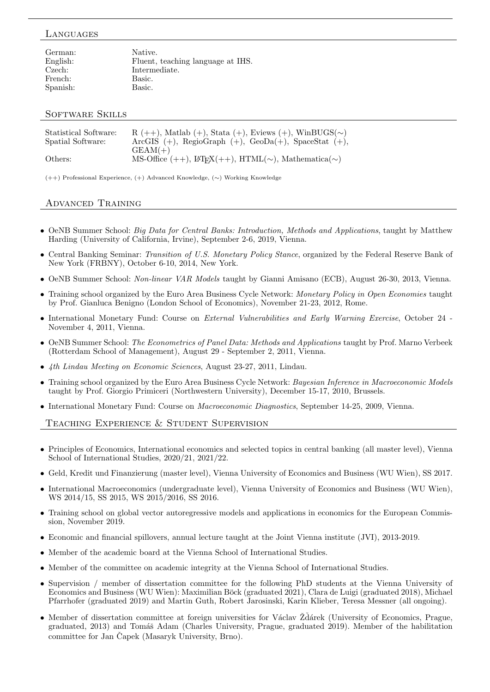## Languages

| German:  | Native.                           |
|----------|-----------------------------------|
| English: | Fluent, teaching language at IHS. |
| Czech:   | Intermediate.                     |
| French:  | Basic.                            |
| Spanish: | Basic.                            |

#### Software Skills

| Statistical Software:<br>Spatial Software: | R $(++)$ , Matlab $(+)$ , Stata $(+)$ , Eviews $(+)$ , WinBUGS $(\sim)$<br>ArcGIS $(+)$ , RegioGraph $(+)$ , GeoDa $(+)$ , SpaceStat $(+)$ , |
|--------------------------------------------|----------------------------------------------------------------------------------------------------------------------------------------------|
|                                            | $GEAM(+)$                                                                                                                                    |
| Others:                                    | MS-Office $(++)$ , $\text{MTFX}(++)$ , $\text{HTML}(\sim)$ , Mathematica $(\sim)$                                                            |

(++) Professional Experience, (+) Advanced Knowledge, (∼) Working Knowledge

## Advanced Training

- OeNB Summer School: Big Data for Central Banks: Introduction, Methods and Applications, taught by Matthew Harding (University of California, Irvine), September 2-6, 2019, Vienna.
- Central Banking Seminar: Transition of U.S. Monetary Policy Stance, organized by the Federal Reserve Bank of New York (FRBNY), October 6-10, 2014, New York.
- OeNB Summer School: Non-linear VAR Models taught by Gianni Amisano (ECB), August 26-30, 2013, Vienna.
- Training school organized by the Euro Area Business Cycle Network: Monetary Policy in Open Economies taught by Prof. Gianluca Benigno (London School of Economics), November 21-23, 2012, Rome.
- International Monetary Fund: Course on External Vulnerabilities and Early Warning Exercise, October 24 November 4, 2011, Vienna.
- OeNB Summer School: The Econometrics of Panel Data: Methods and Applications taught by Prof. Marno Verbeek (Rotterdam School of Management), August 29 - September 2, 2011, Vienna.
- 4th Lindau Meeting on Economic Sciences, August 23-27, 2011, Lindau.
- Training school organized by the Euro Area Business Cycle Network: Bayesian Inference in Macroeconomic Models taught by Prof. Giorgio Primiceri (Northwestern University), December 15-17, 2010, Brussels.
- International Monetary Fund: Course on Macroeconomic Diagnostics, September 14-25, 2009, Vienna.

## Teaching Experience & Student Supervision

- Principles of Economics, International economics and selected topics in central banking (all master level), Vienna School of International Studies, 2020/21, 2021/22.
- Geld, Kredit und Finanzierung (master level), Vienna University of Economics and Business (WU Wien), SS 2017.
- International Macroeconomics (undergraduate level), Vienna University of Economics and Business (WU Wien), WS 2014/15, SS 2015, WS 2015/2016, SS 2016.
- Training school on global vector autoregressive models and applications in economics for the European Commission, November 2019.
- Economic and financial spillovers, annual lecture taught at the Joint Vienna institute (JVI), 2013-2019.
- Member of the academic board at the Vienna School of International Studies.
- Member of the committee on academic integrity at the Vienna School of International Studies.
- Supervision / member of dissertation committee for the following PhD students at the Vienna University of Economics and Business (WU Wien): Maximilian Böck (graduated 2021), Clara de Luigi (graduated 2018), Michael Pfarrhofer (graduated 2019) and Martin Guth, Robert Jarosinski, Karin Klieber, Teresa Messner (all ongoing).
- Member of dissertation committee at foreign universities for Václav Zdárek (University of Economics, Prague, graduated, 2013) and Tomáš Adam (Charles University, Prague, graduated 2019). Member of the habilitation committee for Jan Čapek (Masaryk University, Brno).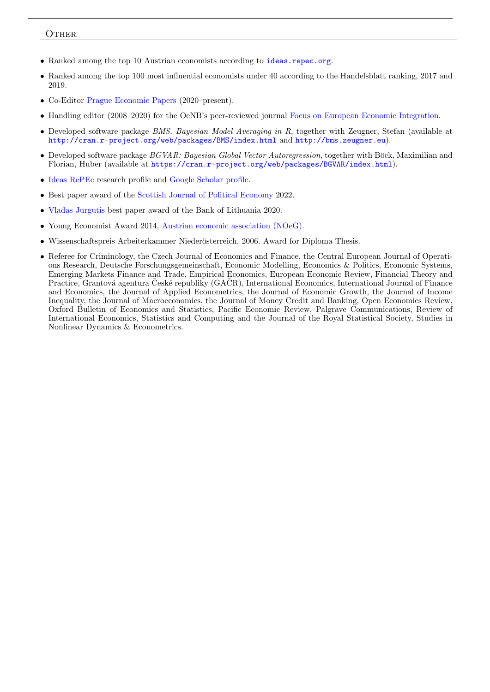# **OTHER**

- Ranked among the top 10 Austrian economists according to <ideas.repec.org>.
- Ranked among the top 100 most influential economists under 40 according to the Handelsblatt ranking, 2017 and 2019.
- Co-Editor [Prague Economic Papers](https://www.vse.cz/pep/) (2020–present).
- Handling editor (2008–2020) for the OeNB's peer-reviewed journal [Focus on European Economic Integration.](https://www.oenb.at/Publikationen/Volkswirtschaft/Focus-on-European-Economic-Integration.html)
- Developed software package BMS, Bayesian Model Averaging in R, together with Zeugner, Stefan (available at <http://cran.r-project.org/web/packages/BMS/index.html> and <http://bms.zeugner.eu>).
- Developed software package BGVAR: Bayesian Global Vector Autoregression, together with Böck, Maximilian and Florian, Huber (available at <https://cran.r-project.org/web/packages/BGVAR/index.html>).
- [Ideas RePEc](http://ideas.repec.org/f/pfe227.html) research profile and [Google Scholar profile.](http://scholar.google.com/citations?user=P0CKfJsAAAAJ&hl=en)
- Best paper award of the [Scottish Journal of Political Economy](https://onlinelibrary.wiley.com/journal/14679485) 2022.
- [Vladas Jurgutis](https://www.lb.lt/en/news/researchers-in-economics-awarded-by-the-bank-of-lithuania) best paper award of the Bank of Lithuania 2020.
- Young Economist Award 2014, [Austrian economic association \(NOeG\).](https://www.noeg.ac.at/young-economists)
- Wissenschaftspreis Arbeiterkammer Niederösterreich, 2006. Award for Diploma Thesis.
- Referee for Criminology, the Czech Journal of Economics and Finance, the Central European Journal of Operations Research, Deutsche Forschungsgemeinschaft, Economic Modelling, Economics & Politics, Economic Systems, Emerging Markets Finance and Trade, Empirical Economics, European Economic Review, Financial Theory and Practice, Grantová agentura České republiky (GAČR), International Economics, International Journal of Finance and Economics, the Journal of Applied Econometrics, the Journal of Economic Growth, the Journal of Income Inequality, the Journal of Macroeconomics, the Journal of Money Credit and Banking, Open Economies Review, Oxford Bulletin of Economics and Statistics, Pacific Economic Review, Palgrave Communications, Review of International Economics, Statistics and Computing and the Journal of the Royal Statistical Society, Studies in Nonlinear Dynamics & Econometrics.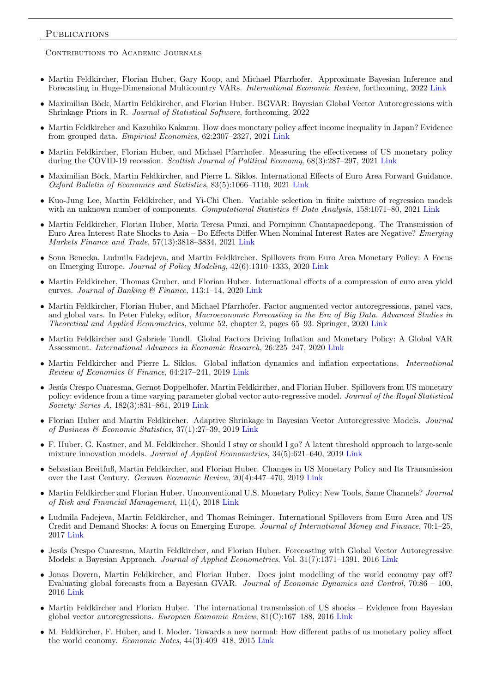## PUBLICATIONS

#### CONTRIBUTIONS TO ACADEMIC JOURNALS

- Martin Feldkircher, Florian Huber, Gary Koop, and Michael Pfarrhofer. Approximate Bayesian Inference and Forecasting in Huge-Dimensional Multicountry VARs. International Economic Review, forthcoming, 2022 [Link](https://onlinelibrary.wiley.com/doi/abs/10.1111/iere.12577)
- Maximilian Böck, Martin Feldkircher, and Florian Huber. BGVAR: Bayesian Global Vector Autoregressions with Shrinkage Priors in R. Journal of Statistical Software, forthcoming, 2022
- Martin Feldkircher and Kazuhiko Kakamu. How does monetary policy affect income inequality in Japan? Evidence from grouped data. Empirical Economics, 62:2307–2327, 2021 [Link](https://link.springer.com/article/10.1007/s00181-021-02102-7)
- Martin Feldkircher, Florian Huber, and Michael Pfarrhofer. Measuring the effectiveness of US monetary policy during the COVID-19 recession. Scottish Journal of Political Economy, 68(3):287–297, 2021 [Link](https://onlinelibrary.wiley.com/doi/abs/10.1111/sjpe.12275)
- Maximilian Böck, Martin Feldkircher, and Pierre L. Siklos. International Effects of Euro Area Forward Guidance. Oxford Bulletin of Economics and Statistics, 83(5):1066–1110, 2021 [Link](https://onlinelibrary.wiley.com/doi/abs/10.1111/obes.12438)
- Kuo-Jung Lee, Martin Feldkircher, and Yi-Chi Chen. Variable selection in finite mixture of regression models with an unknown number of components. Computational Statistics  $\mathscr B$  Data Analysis, 158:1071–80, 2021 [Link](https://www.sciencedirect.com/science/article/pii/S0167947321000141)
- Martin Feldkircher, Florian Huber, Maria Teresa Punzi, and Pornpinun Chantapacdepong. The Transmission of Euro Area Interest Rate Shocks to Asia – Do Effects Differ When Nominal Interest Rates are Negative? Emerging Markets Finance and Trade, 57(13):3818–3834, 2021 [Link](https://doi.org/10.1080/1540496X.2019.1709438)
- Sona Benecka, Ludmila Fadejeva, and Martin Feldkircher. Spillovers from Euro Area Monetary Policy: A Focus on Emerging Europe. Journal of Policy Modeling, 42(6):1310–1333, 2020 [Link](https://doi.org/10.1016/j.jpolmod.2020.05.004)
- Martin Feldkircher, Thomas Gruber, and Florian Huber. International effects of a compression of euro area yield curves. Journal of Banking & Finance, 113:1–14, 2020 [Link](https://www.sciencedirect.com/science/article/abs/pii/S037842661930072X)
- Martin Feldkircher, Florian Huber, and Michael Pfarrhofer. Factor augmented vector autoregressions, panel vars, and global vars. In Peter Fuleky, editor, Macroeconomic Forecasting in the Era of Big Data. Advanced Studies in Theoretical and Applied Econometrics, volume 52, chapter 2, pages 65–93. Springer, 2020 [Link](https://link.springer.com/chapter/10.1007/978-3-030-31150-6_3)
- Martin Feldkircher and Gabriele Tondl. Global Factors Driving Inflation and Monetary Policy: A Global VAR Assessment. International Advances in Economic Research, 26:225–247, 2020 [Link](https://link.springer.com/article/10.1007/s11294-020-09792-2)
- Martin Feldkircher and Pierre L. Siklos. Global inflation dynamics and inflation expectations. *International* Review of Economics & Finance, 64:217–241, 2019 [Link](https://www.sciencedirect.com/science/article/pii/S1059056018310062)
- Jesús Crespo Cuaresma, Gernot Doppelhofer, Martin Feldkircher, and Florian Huber. Spillovers from US monetary policy: evidence from a time varying parameter global vector auto-regressive model. Journal of the Royal Statistical Society: Series A, 182(3):831–861, 2019 [Link](https://rss.onlinelibrary.wiley.com/doi/abs/10.1111/rssa.12439)
- Florian Huber and Martin Feldkircher. Adaptive Shrinkage in Bayesian Vector Autoregressive Models. Journal of Business & Economic Statistics, 37(1):27–39, 2019 [Link](https://doi.org/10.1080/07350015.2016.1256217)
- F. Huber, G. Kastner, and M. Feldkircher. Should I stay or should I go? A latent threshold approach to large-scale mixture innovation models. Journal of Applied Econometrics, 34(5):621–640, 2019 [Link](https://onlinelibrary.wiley.com/doi/full/10.1002/jae.2680)
- Sebastian Breitfuß, Martin Feldkircher, and Florian Huber. Changes in US Monetary Policy and Its Transmission over the Last Century. German Economic Review, 20(4):447–470, 2019 [Link](https://onlinelibrary.wiley.com/doi/abs/10.1111/geer.12154)
- Martin Feldkircher and Florian Huber. Unconventional U.S. Monetary Policy: New Tools, Same Channels? Journal of Risk and Financial Management, 11(4), 2018 [Link](https://www.mdpi.com/1911-8074/11/4/71)
- Ludmila Fadejeva, Martin Feldkircher, and Thomas Reininger. International Spillovers from Euro Area and US Credit and Demand Shocks: A focus on Emerging Europe. Journal of International Money and Finance, 70:1–25, 2017 [Link](https://www.sciencedirect.com/science/article/abs/pii/S0261560616300900)
- Jesús Crespo Cuaresma, Martin Feldkircher, and Florian Huber. Forecasting with Global Vector Autoregressive Models: a Bayesian Approach. Journal of Applied Econometrics, Vol. 31(7):1371-1391, 2016 [Link](http://dx.doi.org/10.1002/jae.2504)
- Jonas Dovern, Martin Feldkircher, and Florian Huber. Does joint modelling of the world economy pay off? Evaluating global forecasts from a Bayesian GVAR. Journal of Economic Dynamics and Control, 70:86 – 100, 2016 [Link](http://www.sciencedirect.com/science/article/pii/S0165188916301051)
- Martin Feldkircher and Florian Huber. The international transmission of US shocks Evidence from Bayesian global vector autoregressions. European Economic Review, 81(C):167–188, 2016 [Link](https://ideas.repec.org/a/eee/eecrev/v81y2016icp167-188.html)
- M. Feldkircher, F. Huber, and I. Moder. Towards a new normal: How different paths of us monetary policy affect the world economy. Economic Notes, 44(3):409–418, 2015 [Link](http://dx.doi.org/10.1111/ecno.12041)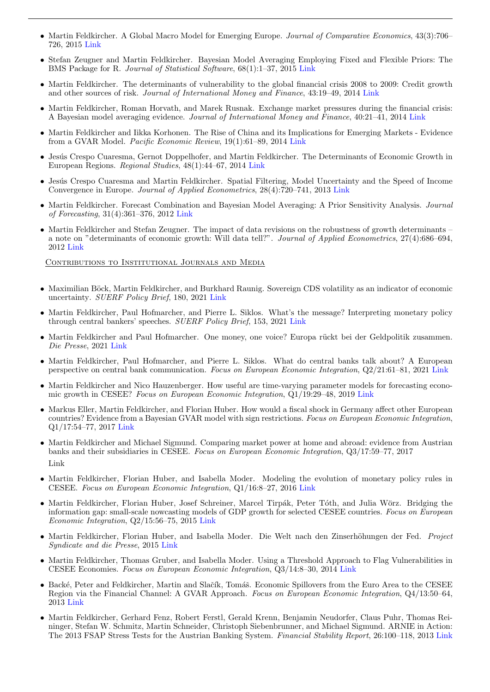- Martin Feldkircher. A Global Macro Model for Emerging Europe. Journal of Comparative Economics, 43(3):706– 726, 2015 [Link](http://www.sciencedirect.com/science/article/pii/S0147596714000870)
- Stefan Zeugner and Martin Feldkircher. Bayesian Model Averaging Employing Fixed and Flexible Priors: The BMS Package for R. Journal of Statistical Software, 68(1):1–37, 2015 [Link](https://www.jstatsoft.org/index.php/jss/article/view/v068i04)
- Martin Feldkircher. The determinants of vulnerability to the global financial crisis 2008 to 2009: Credit growth and other sources of risk. Journal of International Money and Finance, 43:19–49, 2014 [Link](https://www.sciencedirect.com/science/article/pii/S0261560613001770)
- Martin Feldkircher, Roman Horvath, and Marek Rusnak. Exchange market pressures during the financial crisis: A Bayesian model averaging evidence. Journal of International Money and Finance, 40:21–41, 2014 [Link](https://www.sciencedirect.com/science/article/pii/S026156061300123X)
- Martin Feldkircher and Iikka Korhonen. The Rise of China and its Implications for Emerging Markets Evidence from a GVAR Model. Pacific Economic Review, 19(1):61–89, 2014 [Link](https://onlinelibrary.wiley.com/doi/abs/10.1111/1468-0106.12052)
- Jesús Crespo Cuaresma, Gernot Doppelhofer, and Martin Feldkircher. The Determinants of Economic Growth in European Regions. Regional Studies, 48(1):44–67, 2014 [Link](https://doi.org/10.1080/00343404.2012.678824)
- Jesús Crespo Cuaresma and Martin Feldkircher. Spatial Filtering, Model Uncertainty and the Speed of Income Convergence in Europe. Journal of Applied Econometrics, 28(4):720–741, 2013 [Link](https://onlinelibrary.wiley.com/doi/abs/10.1002/jae.2277)
- Martin Feldkircher. Forecast Combination and Bayesian Model Averaging: A Prior Sensitivity Analysis. Journal of Forecasting, 31(4):361–376, 2012 [Link](https://onlinelibrary.wiley.com/doi/abs/10.1002/for.1228)
- Martin Feldkircher and Stefan Zeugner. The impact of data revisions on the robustness of growth determinants a note on "determinants of economic growth: Will data tell?". Journal of Applied Econometrics, 27(4):686–694, 2012 [Link](https://onlinelibrary.wiley.com/doi/abs/10.1002/jae.2265)

Contributions to Institutional Journals and Media

- Maximilian Böck, Martin Feldkircher, and Burkhard Raunig. Sovereign CDS volatility as an indicator of economic uncertainty. SUERF Policy Brief, 180, 2021 [Link](https://www.suerf.org/suer-policy-brief/32703/sovereign-cds-volatility-as-an-indicator-of-economic-uncertainty)
- Martin Feldkircher, Paul Hofmarcher, and Pierre L. Siklos. What's the message? Interpreting monetary policy through central bankers' speeches. SUERF Policy Brief, 153, 2021 [Link](https://www.suerf.org/suer-policy-brief/30483/whats-the-message-interpreting-monetary-policy-through-central-bankers-speeches)
- Martin Feldkircher and Paul Hofmarcher. One money, one voice? Europa rückt bei der Geldpolitik zusammen. Die Presse, 2021 [Link](https://www.diepresse.com/6021648/one-money-one-voice-europa-rueckt-bei-der-geldpolitik-zusammen)
- Martin Feldkircher, Paul Hofmarcher, and Pierre L. Siklos. What do central banks talk about? A European perspective on central bank communication. Focus on European Economic Integration, Q2/21:61–81, 2021 [Link](https://ideas.repec.org/a/onb/oenbfi/y2021iq2-21b1.html)
- Martin Feldkircher and Nico Hauzenberger. How useful are time-varying parameter models for forecasting economic growth in CESEE? Focus on European Economic Integration, Q1/19:29–48, 2019 [Link](https://ideas.repec.org/a/onb/oenbfi/y2019iq1-19b2.html)
- Markus Eller, Martin Feldkircher, and Florian Huber. How would a fiscal shock in Germany affect other European countries? Evidence from a Bayesian GVAR model with sign restrictions. Focus on European Economic Integration, Q1/17:54–77, 2017 [Link](https://ideas.repec.org/a/onb/oenbfi/y2017i1b3.html)
- Martin Feldkircher and Michael Sigmund. Comparing market power at home and abroad: evidence from Austrian banks and their subsidiaries in CESEE. Focus on European Economic Integration, Q3/17:59–77, 2017 Link
- Martin Feldkircher, Florian Huber, and Isabella Moder. Modeling the evolution of monetary policy rules in CESEE. Focus on European Economic Integration, Q1/16:8–27, 2016 [Link](https://ideas.repec.org/a/onb/oenbfi/y2016i1b1.html)
- Martin Feldkircher, Florian Huber, Josef Schreiner, Marcel Tirpák, Peter Tóth, and Julia Wörz. Bridging the information gap: small-scale nowcasting models of GDP growth for selected CESEE countries. Focus on European Economic Integration, Q2/15:56–75, 2015 [Link](https://ideas.repec.org/a/onb/oenbfi/y2015i2b1.html)
- Martin Feldkircher, Florian Huber, and Isabella Moder. Die Welt nach den Zinserhöhungen der Fed. Project Syndicate and die Presse, 2015 [Link](https://www.project-syndicate.org/commentary/when-the-fed-raises-interest-rates-by-martin-feldkircher-et-al-2015-09/german?barrier=accesspaylog)
- Martin Feldkircher, Thomas Gruber, and Isabella Moder. Using a Threshold Approach to Flag Vulnerabilities in CESEE Economies. Focus on European Economic Integration, Q3/14:8–30, 2014 [Link](https://ideas.repec.org/a/onb/oenbfi/y2014i3b1.html)
- Backé, Peter and Feldkircher, Martin and Slačík, Tomáš. Economic Spillovers from the Euro Area to the CESEE Region via the Financial Channel: A GVAR Approach. Focus on European Economic Integration, Q4/13:50–64, 2013 [Link](https://ideas.repec.org/a/onb/oenbfi/y2013i4b1.html)
- Martin Feldkircher, Gerhard Fenz, Robert Ferstl, Gerald Krenn, Benjamin Neudorfer, Claus Puhr, Thomas Reininger, Stefan W. Schmitz, Martin Schneider, Christoph Siebenbrunner, and Michael Sigmund. ARNIE in Action: The 2013 FSAP Stress Tests for the Austrian Banking System. Financial Stability Report, 26:100–118, 2013 [Link](https://ideas.repec.org/a/onb/oenbfs/y2013i26b4.html)